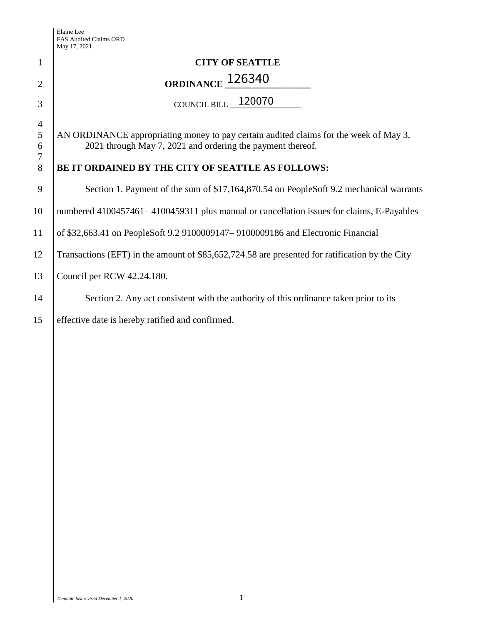Elaine Lee FAS Audited Claims ORD May 17, 2021

|                                           | May 17, 2021                                                                                                                                        |  |  |
|-------------------------------------------|-----------------------------------------------------------------------------------------------------------------------------------------------------|--|--|
| $\mathbf{1}$                              | <b>CITY OF SEATTLE</b>                                                                                                                              |  |  |
| $\overline{2}$                            | ORDINANCE <sub>126340</sub>                                                                                                                         |  |  |
| 3                                         | COUNCIL BILL $\_$ 120070 $\,$                                                                                                                       |  |  |
| $\overline{4}$<br>$\mathfrak s$<br>6<br>7 | AN ORDINANCE appropriating money to pay certain audited claims for the week of May 3,<br>2021 through May 7, 2021 and ordering the payment thereof. |  |  |
| 8                                         | BE IT ORDAINED BY THE CITY OF SEATTLE AS FOLLOWS:                                                                                                   |  |  |
| 9                                         | Section 1. Payment of the sum of \$17,164,870.54 on PeopleSoft 9.2 mechanical warrants                                                              |  |  |
| 10                                        | numbered 4100457461–4100459311 plus manual or cancellation issues for claims, E-Payables                                                            |  |  |
| 11                                        | of \$32,663.41 on PeopleSoft 9.2 9100009147 – 9100009186 and Electronic Financial                                                                   |  |  |
| 12                                        | Transactions (EFT) in the amount of \$85,652,724.58 are presented for ratification by the City                                                      |  |  |
| 13                                        | Council per RCW 42.24.180.                                                                                                                          |  |  |
| 14                                        | Section 2. Any act consistent with the authority of this ordinance taken prior to its                                                               |  |  |
| 15                                        | effective date is hereby ratified and confirmed.                                                                                                    |  |  |
|                                           |                                                                                                                                                     |  |  |
|                                           |                                                                                                                                                     |  |  |
|                                           |                                                                                                                                                     |  |  |
|                                           |                                                                                                                                                     |  |  |
|                                           |                                                                                                                                                     |  |  |
|                                           |                                                                                                                                                     |  |  |
|                                           |                                                                                                                                                     |  |  |
|                                           |                                                                                                                                                     |  |  |
|                                           |                                                                                                                                                     |  |  |
|                                           |                                                                                                                                                     |  |  |
|                                           |                                                                                                                                                     |  |  |
|                                           |                                                                                                                                                     |  |  |